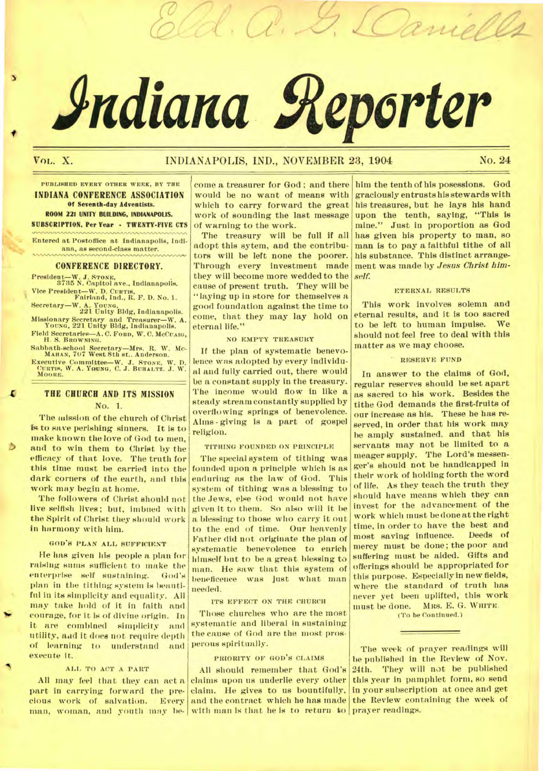# **Adiana geperter**

d. a. G. Lam

# VOL. X. **INDIANAPOLIS, IND., NOVEMBER 23, 1904** No. 24

**PUBLISHED EVERY OTHER WEEK, BY THE INDIANA CONFERENCE ASSOCIATION Of Seventh-day Adventists. ROOM 221 UNITY BUILDING, INDIANAPOLIS.** 

**SUBSCRIPTION, Per Year - TWENTY-FIVE CTS** 

**Entered at Postoffice at Indianapolis, Indiana, as second-class matter.** 

## **CONFERENCE DIRECTORY.**

**President—W. J. STONE, 3735 N. Capitol ave., Indianapolis. Vice President—W. D. CURTIS, Fairland, Ind., R. F. D. No. 1.** 

**Secretary—W. A. YOUNG. 221 Unity Bldg, Indianapolis.** 

**Missionary Secretary and Treasurer—W. A. YOUNG, 221 Unity Bldg, Indianapolis.** 

**Field Secretaries—A. C. FORD, W. C. MCCUAIG, H. S. BROWNING. Sabbath-school Secretary—Mrs. R. W. MC-MAHAN, 707 West 8th st.. Anderson.** 

Executive Committee—W. J. STONE, W. D. CURTIS, W. A. YOUNG, C. J. BUHALTZ. J. W. **MOORE.** 

# **THE CHURCH AND ITS MISSION** No. 1.

The mission of the church of Christ is to save perishing sinners. It is to make known the love of God to men, and to win them to Christ by the efficacy of that love. The truth for this time must be carried into the dark corners of the earth, and this work may begin at home.

The followers of Christ should not live selfish lives; but, imbued with the Spirit of Christ they should work in harmony with him.

## GOD'S PLAN ALL SUFFICIENT

He has given his people a plan for raising sums sufficient to make the enterprise self sustaining. God's plan in the tithing system is beautiful in its simplicity and equality. All may take hold of it in faith and courage, for it is of divine origin. In it are combined simplicity and utility, and it does not require depth of learning to understand and execute it.

## ALL TO ACT A PART

part in carrying forward the pre-claim. He gives to us bountifully, cious work of salvation. Every and the contract which he has made man, woman, and youth may be-with man is that he is to return to prayer readings.

come a treasurer for God ; and there would be no want of means with which to carry forward the great work of sounding the last message of warning to the work.

The treasury will be full if all adopt this sytem, and the contributors will be left none the poorer. Through every investment made they will become more wedded to the cause of present truth. They will be "laying up in store for themselves a good foundation against the time to come, that they may lay hold on eternal life."

#### NO EMPTY TREASURY

If the plan of systematic benevolence was adopted by every individual and fully carried out, there would be a constant supply in the treasury. The income would flow in like a steady stream constantly supplied by overflowing springs of benevolence. Alms - giving is a part of gospel religion.

#### TITHING FOUNDED ON PRINCIPLE

The special system of tithing was founded upon a principle which is as enduring as the law of God. This system of tithing was a blessing to the Jews, else God would not have given it to them. So also will it be a blessing to those who carry it out to the end of time. Our heavenly Father did not originate the plan of systematic benevolence to enrich himself but to be a great blessing to man. He saw that this system of *beneficence* was just what man needed.

#### ITS EFFECT ON THE CHURCH

Those churches who are the most systematic and liberal in sustaining the cause of God are the most prosperous spiritually.

## PRIORITY OF GOD'S CLAIMS

All may feel that they can act a claims upon us underlie every other All should remember that God's

him the tenth of his posessions. God graciously entrusts his stewards with his treasures, but he lays his hand upon the tenth, saying, "This is mine." Just in proportion as God has given his property to man, so man is to pay a faithful tithe of all his substance. This distinct arrangement was made by *Jesus Christ himself.* 

#### ETERNAL RESULTS

This work involves solemn and eternal results, and it is too sacred to be left to human impulse. We should not feel free to deal with this matter as we may choose.

#### RESERVE FUND

In answer to the claims of God, regular reserves should be set apart as sacred to his work. Besides the tithe God demands the first-fruits of our increase as his. These he has reserved, in order that his work may he amply sustained. and that his servants may not be limited to a meager supply. The Lord's messenger's should not be handicapped in their work of holding forth the word of life, As they teach the truth they should have means which they can invest for the advancement of the work which must be done at the right time, in order to have the best and<br>most saving influence. Deeds of most saving influence. mercy must be done; the poor and suffering must be aided. Gifts and offerings should be appropriated for this purpose. Especially in new fields, where the standard of truth has never yet been uplifted, this work must be done. MRS. E. G. WHITE.

**(To be Continued.)** 

The week of prayer readings will be published in the Review of Nov. 24th. They will not be published this year in pamphlet form, so send in your subscription at once and get the Review containing the week of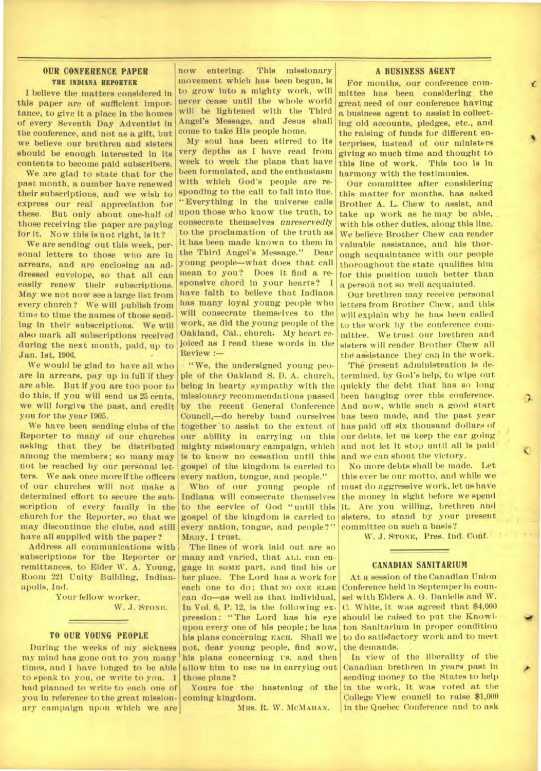# OUR CONFERENCE PAPER THE INDIANA REPORTER

I believe the matters considered in this paper are of sufficient importance, to give it a place in the homes of every Seventh Day Adventist in the conference, and not as a gift, but we believe our brethren and sisters should be enough interested in its contents to become paid subscribers.

We are glad to state that for the past month, a number have renewed their subscriptions, and we wish to express our real appreciation for these. But only about one-half of those receiving the paper are paying for it. Now this is not right, is it?

We are sending out this week, personal letters to those who are in arrears, and are enclosing an addressed envelope, so that all can easily renew their subscriptions. May we not now see a large list from every church? We will publish from time to time the names of those sending in their subscriptions. We will also mark all subscriptions received during the next month, paid, up to Jan. 1st, 1906.

We would be glad to have all who are in arrears, pay up in full if they are able. But if you are too poor to do this, if you will send us 25 cents, we will forgive the past, and credit you for the year 1905.

We have been sending clubs of the Reporter to many of our churches asking that they be distributed among the members; so many may not be reached by our personal letters. We ask once more if the officers of our churches will not make a determined effort to secure the subscription of every family in the church for the Reporter, so that we may discontinue the clubs, and still have all supplied with the paper?

Address all communications with subscriptions for the Reporter or remittances, to Elder W. A. Young, Room 221 Unity Building, Indianapolis, Ind.

> Your fellow worker, W. J. STONE.

# TO OUR YOUNG PEOPLE

During the weeks of my sickness my mind has gone out to you many times, and I have longed to be able to speak to you, or write to you. I had planned to write to each one of you in reference to the great missionary campaign upon which we are

now entering. This missionary movement which has been begun, is to grow into a mighty work, will never cease until the whole world will be lightened with the Third Angel's Message, and Jesus shall come to take His people home.

My soul has been stirred to its very depths as I have read from week to week the plans that have been formulated, and the enthusiasm with which God's people are responding to the call to fall into line. "Everything in the universe calls upon those who know the truth, to consecrate themselves *unreservedly*  to the proclamation of the truth as it has been made known to them in<br>the Third Angel's Message." Dear the Third Angel's Message." young people—what does that call mean to you? Does it find a responsive chord in your hearts? have faith to believe that Indiana has many loyal young people who will consecrate themselves to the work, as did the young people of the Oakland, Cal., church. My heart rejoiced as I read these words in the Review :—

" We, the undersigned young people of the Oakland S. D. A. church, being in hearty sympathy with the missionary recommendations passed by the recent General Conference Council,—do hereby band ourselves together to assist to the extent of our ability in carrying on this mighty missionary campaign, which is to know no cessation until this gospel of the kingdom is carried to every nation, tongue, and people."

Who of our young people of Indiana will consecrate themselves to the service of God "until this gospel of the kingdom is carried to every nation, tongue, and people?" Many, I trust.

The lines of work laid out are so many and varied, that ALL can engage in some part, and find his or her place. The Lord has a work for each one to do; that NO ONE ELSE can do—as well as that individual. In Vol. 6, P. 12, is the following expression: "The Lord has his eye upon every one of his people; he has his plans concerning EACH. Shall we not, dear young people, find NOW, his plans concerning us, and then allow him to use us in carrying out those plans?

Yours for the hastening of the coming kingdom.

MRS. R. W. MCMAHAN.

# **A BUSINESS AGENT**

For months, our conference committee has been considering the great need of our conference having a business agent to assist in collecting old accounts, pledges, etc., and the raising of funds for different enterprises, instead of our ministers giving so much time and thought to this line of work. This too is in harmony with the testimonies.

Our committee after considering this- matter for months, has asked Brother A. L. Chew to assist, and take up work as he may be able, with his other duties, along this line. We believe Brother Chew can render valuable assistance, and his thorough acquaintance with our people thoroughout the state qualifies him for this position much better than a person not so well acquainted.

Our brethren may receive personal letters from Brother Chew, and this will explain why he has been called to the work by the conference committee. We trust our brethren and sisters will render Brother Chew all the *assistance* they can in the work.

The present administration is determined, by God's help, to wipe out quickly the debt that has so long been hanging over this conference. And now, while such a good start has been made, and the past year has paid off six thousand dollars of our debts, let us keep the car going and not let it stop until all is paid and we can shout the victory.

No more debts shall be made. Let this ever be our motto, and while we must do aggressive work, let us have the money in sight before we spend it. Are you willing, brethren and sisters, to stand by your present committee on such a basis?

W. J. STONE, Pres. Ind. Conf.'

# **CANADIAN SANITARIUM**

At a session of the Canadian Union Conference held in Septemper in counsel with Elders A. G. Daniells and W. C. White, it was agreed that \$4,000 should be raised to put the Knowlton Sanitarium in proper condition to do satisfactory work and to meet the demands.

*let* 

n.

Ł

In view of the liberality of the Canadian brethren in years, past in sending money to the States to help in the work, it was voted at the College View council to raise \$1,000 in the Quebec Conference and to ask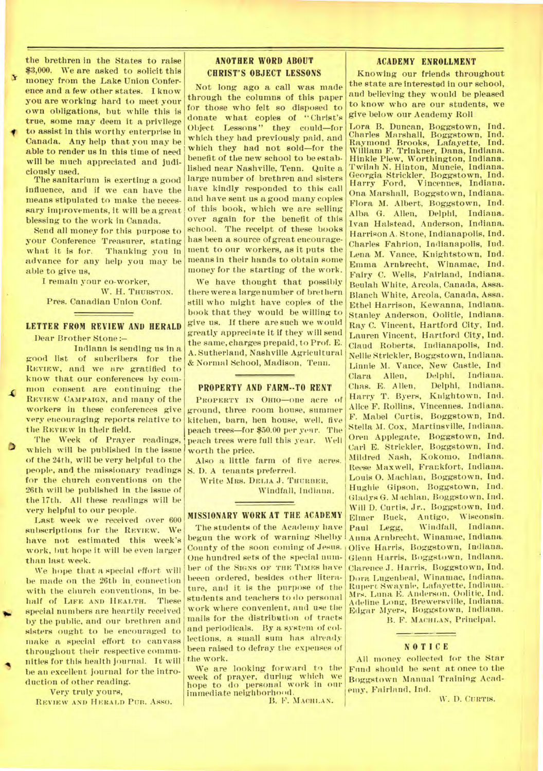the brethren in the States to raise \$3,000. We are asked to solicit this money from the Lake Union Conference and a few other states. I know you are working hard to meet your own obligations, but while this is true, some may deem it a privilege to assist in this worthy enterprise in Canada. Any help that you may be able to render us in this time of need will be much appreciated and judiciously used.

The sanitarium is exerting a good Influence, and if we can have the means stipulated to make the necessary improvements, it will be a great blessing to the work in Canada.

Send all money for this purpose to your Conference Treasurer, stating what it is for. Thanking you in advance for any help you may be able to give us,

I remain your co-worker, W. H. THURSTON. Pres. Canadian Union Conf.

# **LETTER FROM REVIEW AND HERALD**  Dear Brother Stone:—

Indiana is sending us in a good list of subcribers for the REVIEW, and we are gratified to know that our conferences by common consent are continuing the **REVIEW CAMPAIGN,** and many of the workers in these conferences give very encouraging reports relative to the REVIEW in their field.

The Week of Prayer readings, **6** which will be published in the issue of the 24th, will be very helpful to the people, and the missionary readings for the church conventions on the 26th will be published in the issue of the 17th. All these readings will be very helpful to our people.

Last week we received over 600 subscriptions for the **REVIEW.** We have not estimated this week's work, but hope it will be even larger than last week.

We hope that a special effort will be made on the 26th in connection with the church conventions, in behalf of **LIFE AND HEALTH.** These special numbers are heartily received by the public, and our brethren and sisters ought to be encouraged to make a special effort to canvass throughout their respective communities for this health journal. It will be an excellent journal for the introduction of other reading.

Very truly yours,

IOW

**REVIEW AND HERALD PUB.** Asso.

# **ANOTHER WORD ABOUT CHRIST'S OBJECT LESSONS**

Not long ago a call was made through the columns of this paper for those who felt so disposed to donate what copies of "Christ's Object Lessons" they could—for which they had previously paid, and which they had not sold—for the benefit of the new school to be established near Nashville, Tenn. Quite a large number of brethren and sisters have kindly responded to this call and have sent us a good many copies of this book, which we are selling over *again* for the benefit of this school. The receipt of these books has been a source of great encouragement to our workers, as it puts the means in their hands to obtain some money for the starting of the work.

We have thought that possibly there were a large number of brethern still who might have copies of the book that they would be willing to give us. If there are such we would greatly appreciate it if they will send the same, charges prepaid, to Prof. E. A. Sutherland, Nashville Agricultural & Normal School, Madison, Teun.

## **PROPERTY AND FARM--TO RENT**

**PROPERTY IN OHIO—one** acre of ground, three room house, summer kitchen, barn, hen house, well, five peach trees—for \$50.00 per year. The peach trees were full this year. Well worth the price.

Also a little farm of five acres. S. D. A tenants preferred.

Write **MRS. DELIA** J. **THURBER,** 

Windfall, Indiana.

# **MISSIONARY WORK AT THE ACADEMY**

The students of the Academy have begun the work of warning Shelby County of the soon coming of Jesus. One hundred sets of the special number of the **SIGNS OF THE TIMES** have beeen ordered, besides other literature, and it is the purpose of the students and teachers to do personal work where convenient, and use the mails for the distribution of tracts and periodicals. By a system of collections, a small sum has already been raised to defray the expenses of the work.

We are looking forward to the week of prayer, during which we hope to do personal work in our immediate neighborhood.

B. **P. MACHLAN.** 

# **ACADEMY ENROLLMENT**

Knowing our friends throughout the state are interested in our school, and believing they would be pleased to know who are our students, we give below our Academy Roll.

Lora B. Duncan, Boggstown, Ind. Charles Marshall, Boggstown, Ind. Raymond Brooks, Lafayette, William F. Trinkner, Dana, Indiana. Hinkle Plew, Worthington, Indiana. Twilnh N. Hinton, Muncie, Indiana. Georgia Strickler, Boggstown, Ind. Harry Ford, Vincennes, Indiana. Ona Marshall, Boggstown, Indiana. Flora M. Albert, Boggstown, Ind. Alba G. Allen, Delphi, Indiana. Ivan Halstead, Anderson, Indiana. Harrison A. Stone, Indianapolis, Ind. Charles Fahrion, Indianapolis, Ind. Lena M. Vance, Knightstown, Ind. Emma Arnbrecht, Winamac, Ind. Fairy C. Wells, Fairland, Indiana. Beulah White, Arcola, Canada, Assa. Blanch White, Arcola, Canada, Assa. Ethel Harrison, Kewanna, Indiana. Stanley Anderson, Oolitic, Indiana.. Ray C. Vincent, Hartford City, Ind. Lauren Vincent, Hartford City, Ind. Claud Roberts, Indianapolis, Ind. Nellie Strickler, Boggstown, Indiana. Linnie M. Vance, New Castle, Ind. Clara Allen, Delphi, Indiana. Chas. E. Allen, Delphi, Indiana. Harry T. Byers, Knightown, Ind. Alice F. Rollins, Vincennes. Indiana. F. Mabel Curtis, Boggstown, Ind. Stella M. Cox, Martinsville, Indiana. Oren Applegate, Boggstown, Ind. Carl E. Strickler, Boggstown, Ind. Mildred Nash, Kokomo, Indiana. Reese Maxwell, Frankfort, Indiana. Louis 0. Machlan, Boggstown, Ind. Hughie Gipson, Boggstown, Ind. Gladys G. NI achlau, Boggstown, Ind. Will D. Curtis, Jr., Boggstown, Ind. Elmer Buck, Antigo, Wisconsin.<br>Paul Legg, Windfall, Indiana. Windfall, Indiana. Anna Arnbrecht, Winamac, Indiana. Olive Harris, Boggstown, Indiana. Glenn Harris, Boggstown, Indiana. Clarence J. Harris, Boggstown, Ind. Dora Lugenbeal, Winamac, Indiana. Rupert Swaynie, Lafayette, Indiana. • Mrs. Luna E. Anderson. Oolitic, Ind. Adeline Long, Brewersville, Indiana. Edgar Myers, Boggstown, Indiana.

B. F. **MACHLAN,** Principal.

## **NOTICE**

All money collected for the Star Fund should be sent at once to the Boggstown Manual Training Academy, Fairland, Ind.

W. D. **CURTIS.**